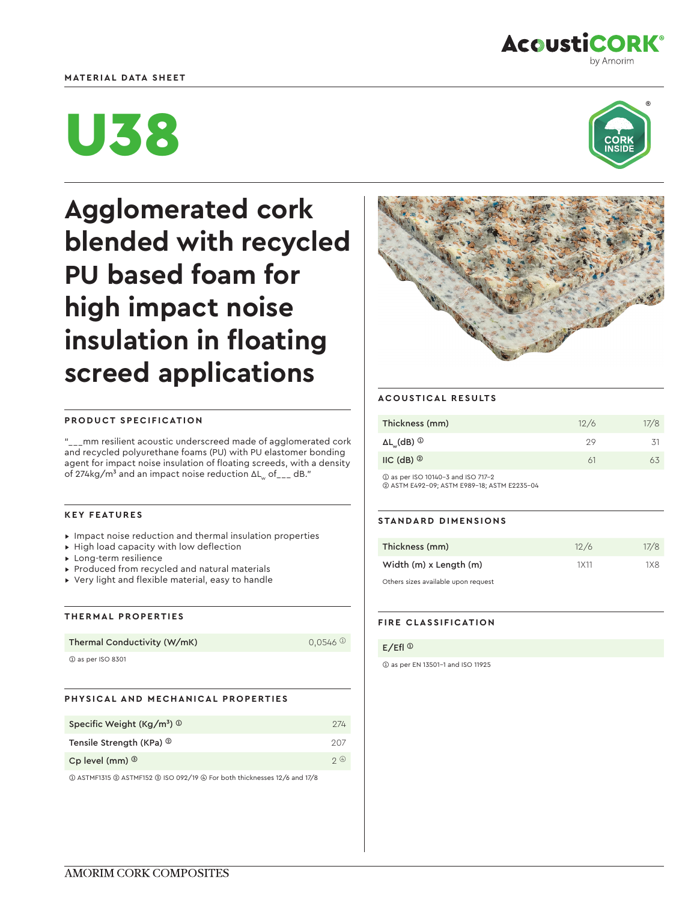# **MATERIAL DATA SHEET**



# U38



**Agglomerated cork blended with recycled PU based foam for high impact noise insulation in floating screed applications**



# **PRODUCT SPECIFICATION**

"\_\_\_mm resilient acoustic underscreed made of agglomerated cork and recycled polyurethane foams (PU) with PU elastomer bonding agent for impact noise insulation of floating screeds, with a density of 274kg/m<sup>3</sup> and an impact noise reduction  $\Delta L_w$  of \_\_\_ dB."

# **KEY FEATURES**

- ▸ Impact noise reduction and thermal insulation properties
- ▸ High load capacity with low deflection
- ▸ Long-term resilience
- ▸ Produced from recycled and natural materials
- ▸ Very light and flexible material, easy to handle

### **THERMAL PROPERTIES**

|  | Thermal Conductivity (W/mK) |  |
|--|-----------------------------|--|
|--|-----------------------------|--|

➀ as per ISO 8301

# **PHYSICAL AND MECHANICAL PROPERTIES**

| Specific Weight (Kg/m <sup>3</sup> ) $\circledcirc$ | 274  |
|-----------------------------------------------------|------|
| Tensile Strength (KPa) <sup>2</sup>                 | 207  |
| Cp level (mm) $\circledcirc$                        | 2(4) |

➀ ASTMF1315 ➁ ASTMF152 ➂ ISO 092/19 ➃ For both thicknesses 12/6 and 17/8

#### **ACOUSTICAL RESULTS**

| Thickness (mm)                     | 12/6 | 17/8 |
|------------------------------------|------|------|
| $\Delta L_{w}$ (dB) $\circledcirc$ | クロ   | -31  |
| $IC$ (dB) $^{\circledR}$           |      | 63   |

➀ as per ISO 10140-3 and ISO 717-2 ➁ ASTM E492-09; ASTM E989-18; ASTM E2235-04

### **STANDARD DIMENSIONS**

| Thickness (mm)                      | 12/6 | 17/8 |
|-------------------------------------|------|------|
| Width (m) x Length (m)              | 1X11 | 1X8  |
| Others sizes available upon request |      |      |

# **FIRE CLASSIFICATION**

#### $E/EH$ <sup>①</sup>

 $0.0546$  <sup>①</sup>

➀ as per EN 13501-1 and ISO 11925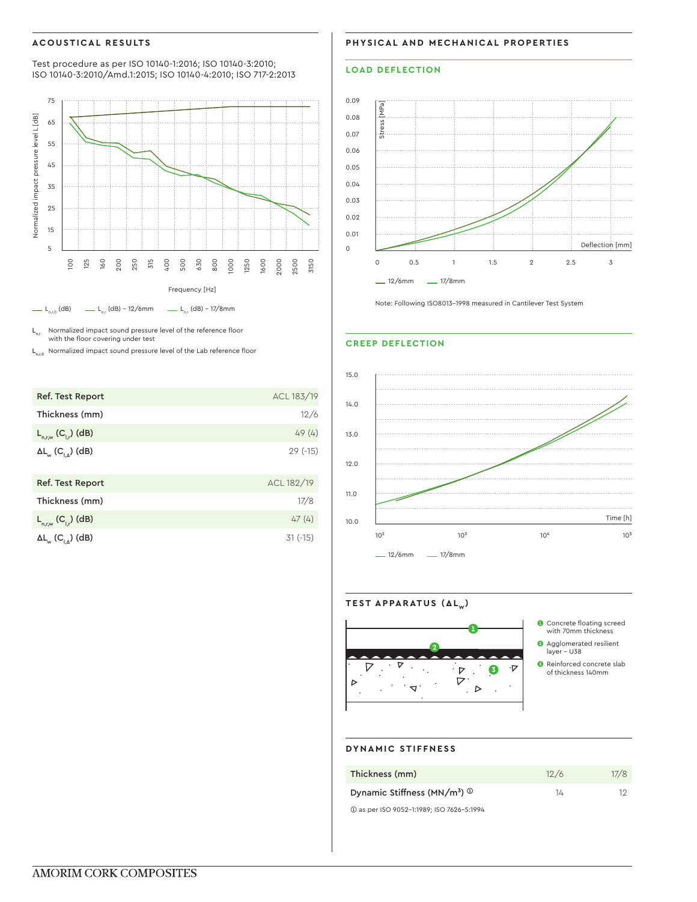# **ACOUSTICAL RESULTS**

Test procedure as per ISO 10140-1:2016; ISO 10140-3:2010; ISO 10140-3:2010/Amd.1:2015; ISO 10140-4:2010; ISO 717-2:2013



 $L_{n,r}$  Normalized impact sound pressure level of the reference floor with the floor covering under test

 $L_{n,r,0}$  Normalized impact sound pressure level of the Lab reference floor

| Ref. Test Report                                   | ACL 183/19 |
|----------------------------------------------------|------------|
| Thickness (mm)                                     | 12/6       |
| $L_{n,r,w}$ (C <sub>I,</sub> ) (dB)                | 49(4)      |
| $\Delta L_{_{\mathrm{W}}}$ (C <sub>IA</sub> ) (dB) | $29(-15)$  |
| Ref. Test Report                                   | ACL 182/19 |
| Thickness (mm)                                     | 17/8       |
| $L_{n,r,w} (C_{l,r})$ (dB)                         | 47(4)      |
| $\Delta L_{\text{w}}$ (C <sub>LA</sub> ) (dB)      | $31(-15)$  |

**PHYSICAL AND MECHANICAL PROPERTIES**

# **LOAD DEFLECTION**



Note: Following ISO8013-1998 measured in Cantilever Test System

#### **CREEP DEFLECTION**



TEST APPARATUS (ΔL<sub>w</sub>)  $\boldsymbol{\nabla}$  $\nabla$  $\ddot{\phantom{a}}$  $\ddot{\phantom{a}}$  .  $\cdot$   $\triangleright$  .  $\bullet$  $\cdot \nabla$  $\ddot{\cdot}$  $\nabla$ D  $\ddot{\phantom{a}}$ .  $\triangleright$  $\Delta$ .  $\mathbf{r}$ 

❶ Concrete floating screed with 70mm thickness ❷ Agglomerated resilient  $layer - U38$ ❸ Reinforced concrete slab of thickness 140mm

#### **DYNAMIC STIFFNESS**

| Thickness (mm)                                        | 12/6 | 17/8 |
|-------------------------------------------------------|------|------|
| Dynamic Stiffness (MN/m <sup>3</sup> ) $\circledcirc$ | 14   | ٦٢.  |
| 1 as per ISO 9052-1:1989; ISO 7626-5:1994             |      |      |